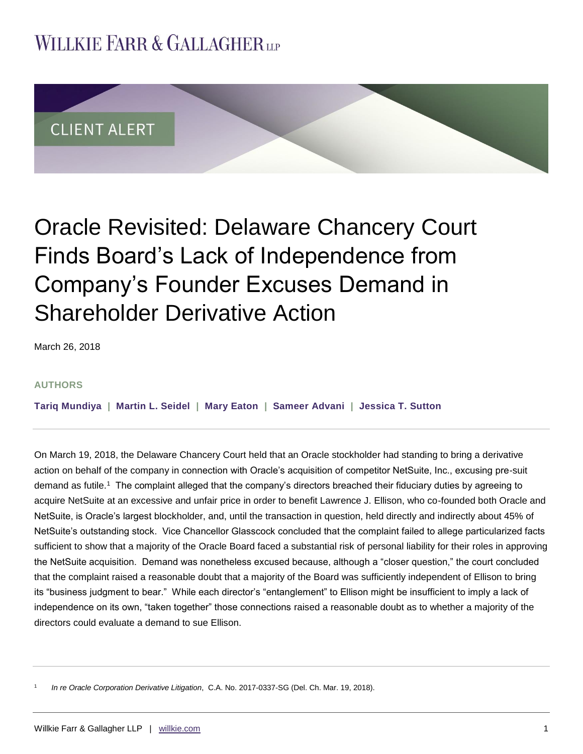## **WILLKIE FARR & GALLAGHERUP**



# Oracle Revisited: Delaware Chancery Court Finds Board's Lack of Independence from Company's Founder Excuses Demand in Shareholder Derivative Action

March 26, 2018

#### **AUTHORS**

**[Tariq Mundiya](http://www.willkie.com/professionals/m/mundiya-tariq) | [Martin L. Seidel](http://www.willkie.com/professionals/s/seidel-martin) | [Mary Eaton](http://www.willkie.com/professionals/e/eaton-mary) | [Sameer Advani](http://www.willkie.com/professionals/a/advani-sameer) | [Jessica T. Sutton](http://www.willkie.com/professionals/s/sutton-jessica-t)**

On March 19, 2018, the Delaware Chancery Court held that an Oracle stockholder had standing to bring a derivative action on behalf of the company in connection with Oracle's acquisition of competitor NetSuite, Inc., excusing pre-suit demand as futile.<sup>1</sup> The complaint alleged that the company's directors breached their fiduciary duties by agreeing to acquire NetSuite at an excessive and unfair price in order to benefit Lawrence J. Ellison, who co-founded both Oracle and NetSuite, is Oracle's largest blockholder, and, until the transaction in question, held directly and indirectly about 45% of NetSuite's outstanding stock. Vice Chancellor Glasscock concluded that the complaint failed to allege particularized facts sufficient to show that a majority of the Oracle Board faced a substantial risk of personal liability for their roles in approving the NetSuite acquisition. Demand was nonetheless excused because, although a "closer question," the court concluded that the complaint raised a reasonable doubt that a majority of the Board was sufficiently independent of Ellison to bring its "business judgment to bear." While each director's "entanglement" to Ellison might be insufficient to imply a lack of independence on its own, "taken together" those connections raised a reasonable doubt as to whether a majority of the directors could evaluate a demand to sue Ellison.

1 *In re Oracle Corporation Derivative Litigation*, C.A. No. 2017-0337-SG (Del. Ch. Mar. 19, 2018).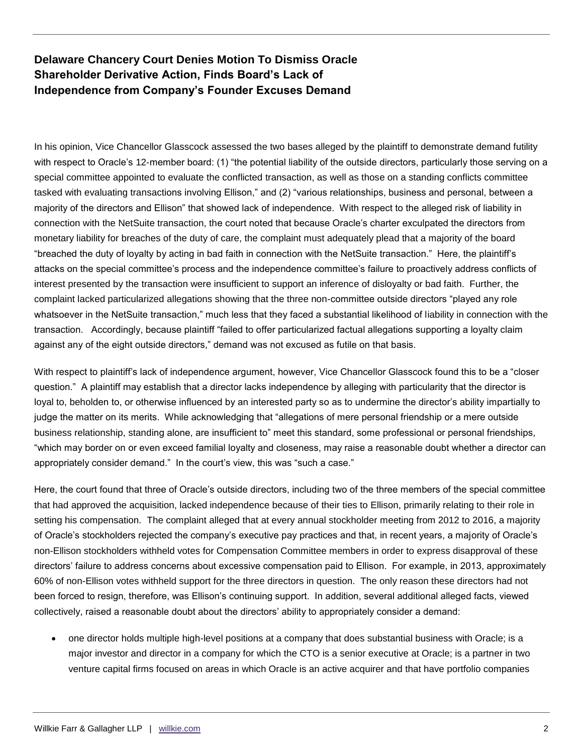## **Delaware Chancery Court Denies Motion To Dismiss Oracle Shareholder Derivative Action, Finds Board's Lack of Independence from Company's Founder Excuses Demand**

In his opinion, Vice Chancellor Glasscock assessed the two bases alleged by the plaintiff to demonstrate demand futility with respect to Oracle's 12-member board: (1) "the potential liability of the outside directors, particularly those serving on a special committee appointed to evaluate the conflicted transaction, as well as those on a standing conflicts committee tasked with evaluating transactions involving Ellison," and (2) "various relationships, business and personal, between a majority of the directors and Ellison" that showed lack of independence. With respect to the alleged risk of liability in connection with the NetSuite transaction, the court noted that because Oracle's charter exculpated the directors from monetary liability for breaches of the duty of care, the complaint must adequately plead that a majority of the board "breached the duty of loyalty by acting in bad faith in connection with the NetSuite transaction." Here, the plaintiff's attacks on the special committee's process and the independence committee's failure to proactively address conflicts of interest presented by the transaction were insufficient to support an inference of disloyalty or bad faith. Further, the complaint lacked particularized allegations showing that the three non-committee outside directors "played any role whatsoever in the NetSuite transaction," much less that they faced a substantial likelihood of liability in connection with the transaction. Accordingly, because plaintiff "failed to offer particularized factual allegations supporting a loyalty claim against any of the eight outside directors," demand was not excused as futile on that basis.

With respect to plaintiff's lack of independence argument, however, Vice Chancellor Glasscock found this to be a "closer question." A plaintiff may establish that a director lacks independence by alleging with particularity that the director is loyal to, beholden to, or otherwise influenced by an interested party so as to undermine the director's ability impartially to judge the matter on its merits. While acknowledging that "allegations of mere personal friendship or a mere outside business relationship, standing alone, are insufficient to" meet this standard, some professional or personal friendships, "which may border on or even exceed familial loyalty and closeness, may raise a reasonable doubt whether a director can appropriately consider demand." In the court's view, this was "such a case."

Here, the court found that three of Oracle's outside directors, including two of the three members of the special committee that had approved the acquisition, lacked independence because of their ties to Ellison, primarily relating to their role in setting his compensation. The complaint alleged that at every annual stockholder meeting from 2012 to 2016, a majority of Oracle's stockholders rejected the company's executive pay practices and that, in recent years, a majority of Oracle's non-Ellison stockholders withheld votes for Compensation Committee members in order to express disapproval of these directors' failure to address concerns about excessive compensation paid to Ellison. For example, in 2013, approximately 60% of non-Ellison votes withheld support for the three directors in question. The only reason these directors had not been forced to resign, therefore, was Ellison's continuing support. In addition, several additional alleged facts, viewed collectively, raised a reasonable doubt about the directors' ability to appropriately consider a demand:

 one director holds multiple high-level positions at a company that does substantial business with Oracle; is a major investor and director in a company for which the CTO is a senior executive at Oracle; is a partner in two venture capital firms focused on areas in which Oracle is an active acquirer and that have portfolio companies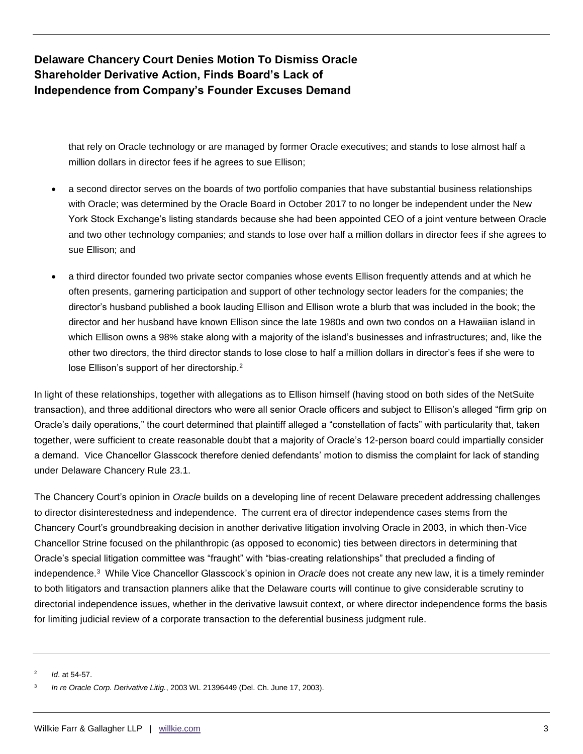**Delaware Chancery Court Denies Motion To Dismiss Oracle Shareholder Derivative Action, Finds Board's Lack of Independence from Company's Founder Excuses Demand**

> that rely on Oracle technology or are managed by former Oracle executives; and stands to lose almost half a million dollars in director fees if he agrees to sue Ellison;

- a second director serves on the boards of two portfolio companies that have substantial business relationships with Oracle; was determined by the Oracle Board in October 2017 to no longer be independent under the New York Stock Exchange's listing standards because she had been appointed CEO of a joint venture between Oracle and two other technology companies; and stands to lose over half a million dollars in director fees if she agrees to sue Ellison; and
- a third director founded two private sector companies whose events Ellison frequently attends and at which he often presents, garnering participation and support of other technology sector leaders for the companies; the director's husband published a book lauding Ellison and Ellison wrote a blurb that was included in the book; the director and her husband have known Ellison since the late 1980s and own two condos on a Hawaiian island in which Ellison owns a 98% stake along with a majority of the island's businesses and infrastructures; and, like the other two directors, the third director stands to lose close to half a million dollars in director's fees if she were to lose Ellison's support of her directorship.<sup>2</sup>

In light of these relationships, together with allegations as to Ellison himself (having stood on both sides of the NetSuite transaction), and three additional directors who were all senior Oracle officers and subject to Ellison's alleged "firm grip on Oracle's daily operations," the court determined that plaintiff alleged a "constellation of facts" with particularity that, taken together, were sufficient to create reasonable doubt that a majority of Oracle's 12-person board could impartially consider a demand. Vice Chancellor Glasscock therefore denied defendants' motion to dismiss the complaint for lack of standing under Delaware Chancery Rule 23.1.

The Chancery Court's opinion in *Oracle* builds on a developing line of recent Delaware precedent addressing challenges to director disinterestedness and independence. The current era of director independence cases stems from the Chancery Court's groundbreaking decision in another derivative litigation involving Oracle in 2003, in which then-Vice Chancellor Strine focused on the philanthropic (as opposed to economic) ties between directors in determining that Oracle's special litigation committee was "fraught" with "bias-creating relationships" that precluded a finding of independence.<sup>3</sup> While Vice Chancellor Glasscock's opinion in *Oracle* does not create any new law, it is a timely reminder to both litigators and transaction planners alike that the Delaware courts will continue to give considerable scrutiny to directorial independence issues, whether in the derivative lawsuit context, or where director independence forms the basis for limiting judicial review of a corporate transaction to the deferential business judgment rule.

2 *Id*. at 54-57.

<sup>3</sup> *In re Oracle Corp. Derivative Litig.*, 2003 WL 21396449 (Del. Ch. June 17, 2003).